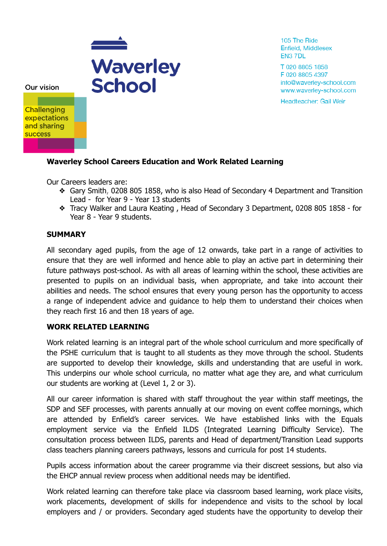

105 The Ride Enfield, Middlesex EN3 7DL

T 020 8805 1858 F 020 8805 4397 info@waverley-school.com www.waverley-school.com

Headteacher: Gail Weir

Our vision

**Challenging expectations** and sharing **success** 

## **Waverley School Careers Education and Work Related Learning**

Our Careers leaders are:

- ❖ Gary Smith, 0208 805 1858, who is also Head of Secondary 4 Department and Transition Lead - for Year 9 - Year 13 students
- ❖ Tracy Walker and Laura Keating , Head of Secondary 3 Department, 0208 805 1858 for Year 8 - Year 9 students.

### **SUMMARY**

All secondary aged pupils, from the age of 12 onwards, take part in a range of activities to ensure that they are well informed and hence able to play an active part in determining their future pathways post-school. As with all areas of learning within the school, these activities are presented to pupils on an individual basis, when appropriate, and take into account their abilities and needs. The school ensures that every young person has the opportunity to access a range of independent advice and guidance to help them to understand their choices when they reach first 16 and then 18 years of age.

#### **WORK RELATED LEARNING**

Work related learning is an integral part of the whole school curriculum and more specifically of the PSHE curriculum that is taught to all students as they move through the school. Students are supported to develop their knowledge, skills and understanding that are useful in work. This underpins our whole school curricula, no matter what age they are, and what curriculum our students are working at (Level 1, 2 or 3).

All our career information is shared with staff throughout the year within staff meetings, the SDP and SEF processes, with parents annually at our moving on event coffee mornings, which are attended by Enfield's career services. We have established links with the Equals employment service via the Enfield ILDS (Integrated Learning Difficulty Service). The consultation process between ILDS, parents and Head of department/Transition Lead supports class teachers planning careers pathways, lessons and curricula for post 14 students.

Pupils access information about the career programme via their discreet sessions, but also via the EHCP annual review process when additional needs may be identified.

Work related learning can therefore take place via classroom based learning, work place visits, work placements, development of skills for independence and visits to the school by local employers and / or providers. Secondary aged students have the opportunity to develop their